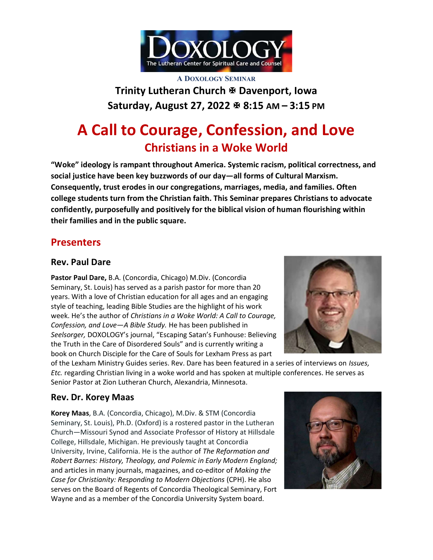

A DOXOLOGY SEMINAR Trinity Lutheran Church & Davenport, Iowa Saturday, August 27, 2022 ₺ 8:15 AM - 3:15 PM

# A Call to Courage, Confession, and Love Christians in a Woke World

"Woke" ideology is rampant throughout America. Systemic racism, political correctness, and social justice have been key buzzwords of our day—all forms of Cultural Marxism. Consequently, trust erodes in our congregations, marriages, media, and families. Often college students turn from the Christian faith. This Seminar prepares Christians to advocate confidently, purposefully and positively for the biblical vision of human flourishing within their families and in the public square.

# Presenters

### Rev. Paul Dare

Pastor Paul Dare, B.A. (Concordia, Chicago) M.Div. (Concordia Seminary, St. Louis) has served as a parish pastor for more than 20 years. With a love of Christian education for all ages and an engaging style of teaching, leading Bible Studies are the highlight of his work week. He's the author of Christians in a Woke World: A Call to Courage, Confession, and Love—A Bible Study. He has been published in Seelsorger, DOXOLOGY's journal, "Escaping Satan's Funhouse: Believing the Truth in the Care of Disordered Souls" and is currently writing a book on Church Disciple for the Care of Souls for Lexham Press as part



of the Lexham Ministry Guides series. Rev. Dare has been featured in a series of interviews on Issues, Etc. regarding Christian living in a woke world and has spoken at multiple conferences. He serves as Senior Pastor at Zion Lutheran Church, Alexandria, Minnesota.

## Rev. Dr. Korey Maas

Korey Maas, B.A. (Concordia, Chicago), M.Div. & STM (Concordia Seminary, St. Louis), Ph.D. (Oxford) is a rostered pastor in the Lutheran Church—Missouri Synod and Associate Professor of History at Hillsdale College, Hillsdale, Michigan. He previously taught at Concordia University, Irvine, California. He is the author of The Reformation and Robert Barnes: History, Theology, and Polemic in Early Modern England; and articles in many journals, magazines, and co-editor of Making the Case for Christianity: Responding to Modern Objections (CPH). He also serves on the Board of Regents of Concordia Theological Seminary, Fort Wayne and as a member of the Concordia University System board.